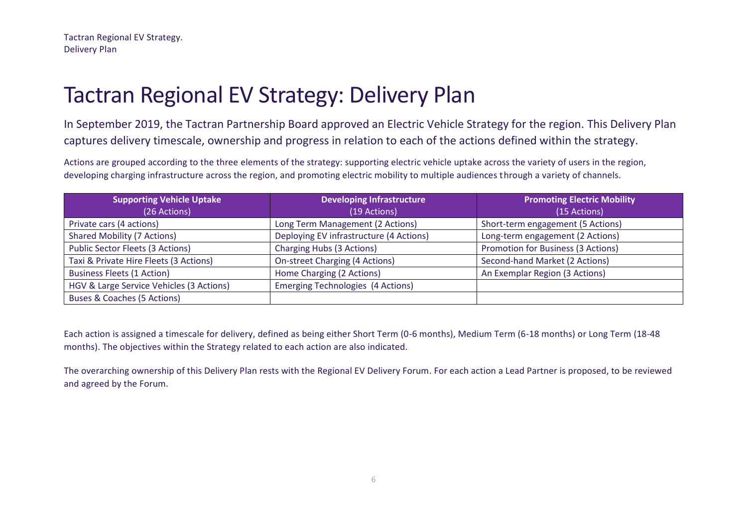In September 2019, the Tactran Partnership Board approved an Electric Vehicle Strategy for the region. This Delivery Plan captures delivery timescale, ownership and progress in relation to each of the actions defined within the strategy.

Actions are grouped according to the three elements of the strategy: supporting electric vehicle uptake across the variety of users in the region, developing charging infrastructure across the region, and promoting electric mobility to multiple audiences through a variety of channels.

| <b>Supporting Vehicle Uptake</b>         | <b>Developing Infrastructure</b>         | <b>Promoting Electric Mobility</b> |
|------------------------------------------|------------------------------------------|------------------------------------|
| (26 Actions)                             | (19 Actions)                             | (15 Actions)                       |
| Private cars (4 actions)                 | Long Term Management (2 Actions)         | Short-term engagement (5 Actions)  |
| <b>Shared Mobility (7 Actions)</b>       | Deploying EV infrastructure (4 Actions)  | Long-term engagement (2 Actions)   |
| Public Sector Fleets (3 Actions)         | Charging Hubs (3 Actions)                | Promotion for Business (3 Actions) |
| Taxi & Private Hire Fleets (3 Actions)   | <b>On-street Charging (4 Actions)</b>    | Second-hand Market (2 Actions)     |
| <b>Business Fleets (1 Action)</b>        | Home Charging (2 Actions)                | An Exemplar Region (3 Actions)     |
| HGV & Large Service Vehicles (3 Actions) | <b>Emerging Technologies (4 Actions)</b> |                                    |
| Buses & Coaches (5 Actions)              |                                          |                                    |

Each action is assigned a timescale for delivery, defined as being either Short Term (0-6 months), Medium Term (6-18 months) or Long Term (18-48 months). The objectives within the Strategy related to each action are also indicated.

The overarching ownership of this Delivery Plan rests with the Regional EV Delivery Forum. For each action a Lead Partner is proposed, to be reviewed and agreed by the Forum.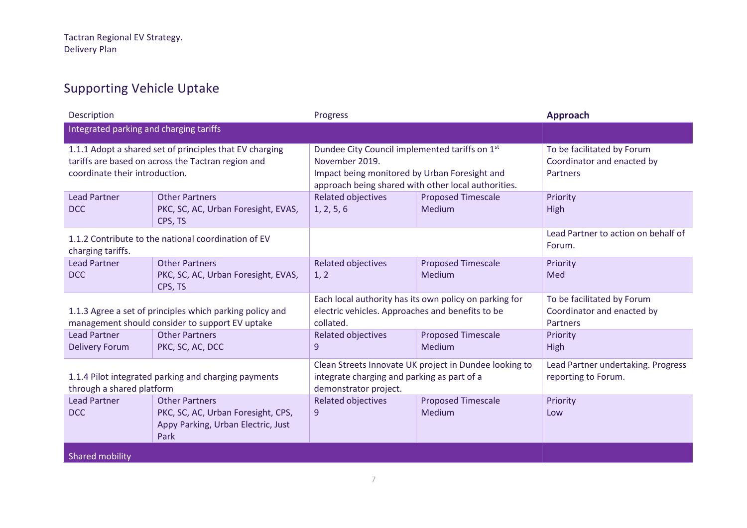## Supporting Vehicle Uptake

| Description                                                                                                                                     |                                                                                                             | Progress                                                                                                                                                                 |                                     | <b>Approach</b>                                                      |
|-------------------------------------------------------------------------------------------------------------------------------------------------|-------------------------------------------------------------------------------------------------------------|--------------------------------------------------------------------------------------------------------------------------------------------------------------------------|-------------------------------------|----------------------------------------------------------------------|
| Integrated parking and charging tariffs                                                                                                         |                                                                                                             |                                                                                                                                                                          |                                     |                                                                      |
| 1.1.1 Adopt a shared set of principles that EV charging<br>tariffs are based on across the Tactran region and<br>coordinate their introduction. |                                                                                                             | Dundee City Council implemented tariffs on 1st<br>November 2019.<br>Impact being monitored by Urban Foresight and<br>approach being shared with other local authorities. |                                     | To be facilitated by Forum<br>Coordinator and enacted by<br>Partners |
| <b>Lead Partner</b><br><b>DCC</b>                                                                                                               | <b>Other Partners</b><br>PKC, SC, AC, Urban Foresight, EVAS,<br>CPS, TS                                     | <b>Related objectives</b><br>1, 2, 5, 6                                                                                                                                  | <b>Proposed Timescale</b><br>Medium | Priority<br>High                                                     |
| 1.1.2 Contribute to the national coordination of EV<br>charging tariffs.                                                                        |                                                                                                             |                                                                                                                                                                          |                                     | Lead Partner to action on behalf of<br>Forum.                        |
| <b>Lead Partner</b><br><b>DCC</b>                                                                                                               | <b>Other Partners</b><br>PKC, SC, AC, Urban Foresight, EVAS,<br>CPS, TS                                     | <b>Related objectives</b><br>1, 2                                                                                                                                        | <b>Proposed Timescale</b><br>Medium | Priority<br>Med                                                      |
|                                                                                                                                                 | 1.1.3 Agree a set of principles which parking policy and<br>management should consider to support EV uptake | Each local authority has its own policy on parking for<br>electric vehicles. Approaches and benefits to be<br>collated.                                                  |                                     | To be facilitated by Forum<br>Coordinator and enacted by<br>Partners |
| <b>Lead Partner</b><br><b>Delivery Forum</b>                                                                                                    | <b>Other Partners</b><br>PKC, SC, AC, DCC                                                                   | <b>Related objectives</b><br>9                                                                                                                                           | <b>Proposed Timescale</b><br>Medium | Priority<br>High                                                     |
| 1.1.4 Pilot integrated parking and charging payments<br>through a shared platform                                                               |                                                                                                             | Clean Streets Innovate UK project in Dundee looking to<br>integrate charging and parking as part of a<br>demonstrator project.                                           |                                     | Lead Partner undertaking. Progress<br>reporting to Forum.            |
| <b>Lead Partner</b><br><b>DCC</b>                                                                                                               | <b>Other Partners</b><br>PKC, SC, AC, Urban Foresight, CPS,<br>Appy Parking, Urban Electric, Just<br>Park   | <b>Related objectives</b><br>9                                                                                                                                           | <b>Proposed Timescale</b><br>Medium | Priority<br>Low                                                      |
| Shared mobility                                                                                                                                 |                                                                                                             |                                                                                                                                                                          |                                     |                                                                      |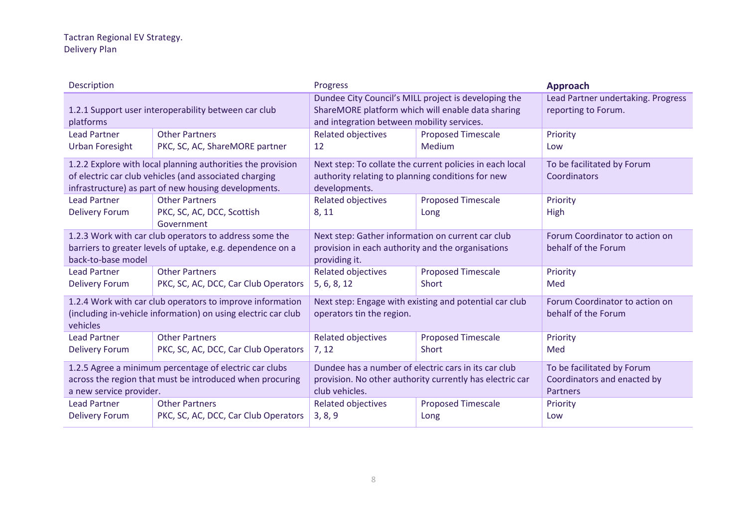| Description                                                                                                                                                                   |                                                                   | Progress                                                                                                                                                |                                                          | Approach                                                              |
|-------------------------------------------------------------------------------------------------------------------------------------------------------------------------------|-------------------------------------------------------------------|---------------------------------------------------------------------------------------------------------------------------------------------------------|----------------------------------------------------------|-----------------------------------------------------------------------|
| 1.2.1 Support user interoperability between car club<br>platforms                                                                                                             |                                                                   | Dundee City Council's MILL project is developing the<br>ShareMORE platform which will enable data sharing<br>and integration between mobility services. |                                                          | Lead Partner undertaking. Progress<br>reporting to Forum.             |
| <b>Lead Partner</b><br><b>Urban Foresight</b>                                                                                                                                 | <b>Other Partners</b><br>PKC, SC, AC, ShareMORE partner           | <b>Related objectives</b><br>12                                                                                                                         | <b>Proposed Timescale</b><br>Medium                      | Priority<br>Low                                                       |
| 1.2.2 Explore with local planning authorities the provision<br>of electric car club vehicles (and associated charging<br>infrastructure) as part of new housing developments. |                                                                   | authority relating to planning conditions for new<br>developments.                                                                                      | Next step: To collate the current policies in each local | To be facilitated by Forum<br>Coordinators                            |
| <b>Lead Partner</b><br><b>Delivery Forum</b>                                                                                                                                  | <b>Other Partners</b><br>PKC, SC, AC, DCC, Scottish<br>Government | <b>Related objectives</b><br>8, 11                                                                                                                      | <b>Proposed Timescale</b><br>Long                        | Priority<br>High                                                      |
| 1.2.3 Work with car club operators to address some the<br>barriers to greater levels of uptake, e.g. dependence on a<br>back-to-base model                                    |                                                                   | Next step: Gather information on current car club<br>provision in each authority and the organisations<br>providing it.                                 |                                                          | Forum Coordinator to action on<br>behalf of the Forum                 |
| <b>Lead Partner</b><br><b>Delivery Forum</b>                                                                                                                                  | <b>Other Partners</b><br>PKC, SC, AC, DCC, Car Club Operators     | Related objectives<br>5, 6, 8, 12                                                                                                                       | <b>Proposed Timescale</b><br>Short                       | Priority<br>Med                                                       |
| 1.2.4 Work with car club operators to improve information<br>(including in-vehicle information) on using electric car club<br>vehicles                                        |                                                                   | Next step: Engage with existing and potential car club<br>operators tin the region.                                                                     |                                                          | Forum Coordinator to action on<br>behalf of the Forum                 |
| <b>Lead Partner</b><br><b>Delivery Forum</b>                                                                                                                                  | <b>Other Partners</b><br>PKC, SC, AC, DCC, Car Club Operators     | <b>Related objectives</b><br>7, 12                                                                                                                      | <b>Proposed Timescale</b><br>Short                       | Priority<br>Med                                                       |
| 1.2.5 Agree a minimum percentage of electric car clubs<br>across the region that must be introduced when procuring<br>a new service provider.                                 |                                                                   | Dundee has a number of electric cars in its car club<br>provision. No other authority currently has electric car<br>club vehicles.                      |                                                          | To be facilitated by Forum<br>Coordinators and enacted by<br>Partners |
| <b>Lead Partner</b><br><b>Delivery Forum</b>                                                                                                                                  | <b>Other Partners</b><br>PKC, SC, AC, DCC, Car Club Operators     | <b>Related objectives</b><br>3, 8, 9                                                                                                                    | <b>Proposed Timescale</b><br>Long                        | Priority<br>Low                                                       |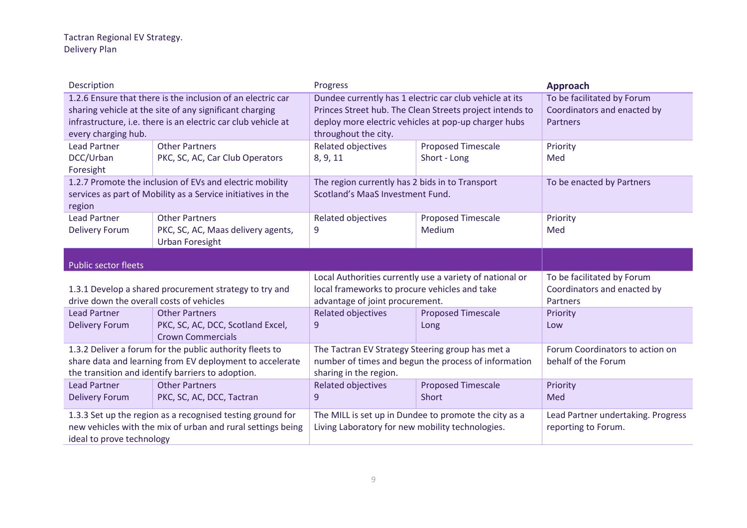| Description                                                                                                                                                                                                    |                                                                                                                           | Progress                                                                                                                                                                                            |                                           | Approach                                                                     |
|----------------------------------------------------------------------------------------------------------------------------------------------------------------------------------------------------------------|---------------------------------------------------------------------------------------------------------------------------|-----------------------------------------------------------------------------------------------------------------------------------------------------------------------------------------------------|-------------------------------------------|------------------------------------------------------------------------------|
| 1.2.6 Ensure that there is the inclusion of an electric car<br>sharing vehicle at the site of any significant charging<br>infrastructure, i.e. there is an electric car club vehicle at<br>every charging hub. |                                                                                                                           | Dundee currently has 1 electric car club vehicle at its<br>Princes Street hub. The Clean Streets project intends to<br>deploy more electric vehicles at pop-up charger hubs<br>throughout the city. |                                           | To be facilitated by Forum<br>Coordinators and enacted by<br><b>Partners</b> |
| <b>Lead Partner</b><br>DCC/Urban<br>Foresight                                                                                                                                                                  | <b>Other Partners</b><br>PKC, SC, AC, Car Club Operators                                                                  | <b>Related objectives</b><br>8, 9, 11                                                                                                                                                               | <b>Proposed Timescale</b><br>Short - Long | Priority<br>Med                                                              |
| 1.2.7 Promote the inclusion of EVs and electric mobility<br>services as part of Mobility as a Service initiatives in the<br>region                                                                             |                                                                                                                           | The region currently has 2 bids in to Transport<br>Scotland's MaaS Investment Fund.                                                                                                                 |                                           | To be enacted by Partners                                                    |
| <b>Lead Partner</b><br><b>Delivery Forum</b>                                                                                                                                                                   | <b>Other Partners</b><br>PKC, SC, AC, Maas delivery agents,<br><b>Urban Foresight</b>                                     | <b>Related objectives</b><br>9                                                                                                                                                                      | <b>Proposed Timescale</b><br>Medium       | Priority<br>Med                                                              |
| Public sector fleets                                                                                                                                                                                           |                                                                                                                           |                                                                                                                                                                                                     |                                           |                                                                              |
| drive down the overall costs of vehicles                                                                                                                                                                       | 1.3.1 Develop a shared procurement strategy to try and                                                                    | Local Authorities currently use a variety of national or<br>local frameworks to procure vehicles and take<br>advantage of joint procurement.                                                        |                                           | To be facilitated by Forum<br>Coordinators and enacted by<br>Partners        |
| <b>Lead Partner</b><br><b>Delivery Forum</b>                                                                                                                                                                   | <b>Other Partners</b><br>PKC, SC, AC, DCC, Scotland Excel,<br><b>Crown Commercials</b>                                    | <b>Related objectives</b><br>9                                                                                                                                                                      | <b>Proposed Timescale</b><br>Long         | Priority<br>Low                                                              |
| 1.3.2 Deliver a forum for the public authority fleets to<br>share data and learning from EV deployment to accelerate<br>the transition and identify barriers to adoption.                                      |                                                                                                                           | The Tactran EV Strategy Steering group has met a<br>number of times and begun the process of information<br>sharing in the region.                                                                  |                                           | Forum Coordinators to action on<br>behalf of the Forum                       |
| <b>Lead Partner</b><br><b>Delivery Forum</b>                                                                                                                                                                   | <b>Other Partners</b><br>PKC, SC, AC, DCC, Tactran                                                                        | <b>Related objectives</b><br>9                                                                                                                                                                      | <b>Proposed Timescale</b><br><b>Short</b> | Priority<br>Med                                                              |
| ideal to prove technology                                                                                                                                                                                      | 1.3.3 Set up the region as a recognised testing ground for<br>new vehicles with the mix of urban and rural settings being | The MILL is set up in Dundee to promote the city as a<br>Living Laboratory for new mobility technologies.                                                                                           |                                           | Lead Partner undertaking. Progress<br>reporting to Forum.                    |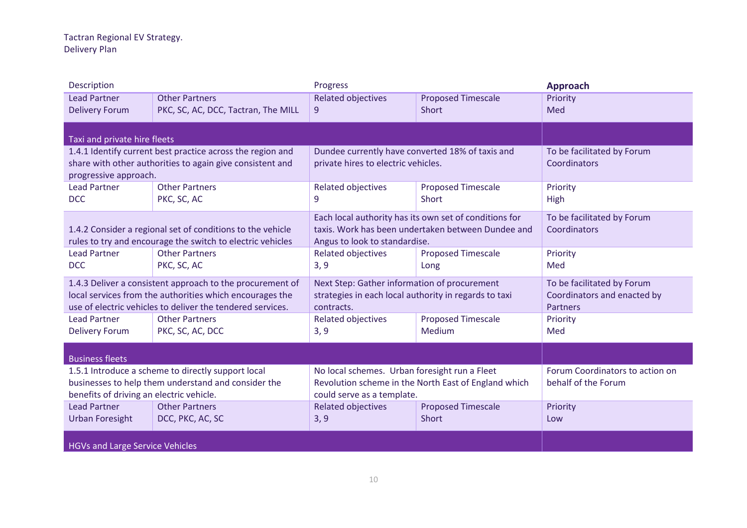| Description                              |                                                            | Progress                                              |                                                        | Approach                        |
|------------------------------------------|------------------------------------------------------------|-------------------------------------------------------|--------------------------------------------------------|---------------------------------|
| <b>Lead Partner</b>                      | <b>Other Partners</b>                                      | <b>Related objectives</b>                             | <b>Proposed Timescale</b>                              | Priority                        |
| <b>Delivery Forum</b>                    | PKC, SC, AC, DCC, Tactran, The MILL                        | 9                                                     | Short                                                  | Med                             |
|                                          |                                                            |                                                       |                                                        |                                 |
| Taxi and private hire fleets             |                                                            |                                                       |                                                        |                                 |
|                                          | 1.4.1 Identify current best practice across the region and | Dundee currently have converted 18% of taxis and      |                                                        | To be facilitated by Forum      |
|                                          | share with other authorities to again give consistent and  | private hires to electric vehicles.                   |                                                        | Coordinators                    |
| progressive approach.                    |                                                            |                                                       |                                                        |                                 |
| <b>Lead Partner</b>                      | <b>Other Partners</b>                                      | <b>Related objectives</b>                             | <b>Proposed Timescale</b>                              | Priority                        |
| <b>DCC</b>                               | PKC, SC, AC                                                | 9                                                     | <b>Short</b>                                           | High                            |
|                                          |                                                            |                                                       | Each local authority has its own set of conditions for | To be facilitated by Forum      |
|                                          | 1.4.2 Consider a regional set of conditions to the vehicle |                                                       | taxis. Work has been undertaken between Dundee and     | Coordinators                    |
|                                          | rules to try and encourage the switch to electric vehicles | Angus to look to standardise.                         |                                                        |                                 |
| <b>Lead Partner</b>                      | <b>Other Partners</b>                                      | <b>Related objectives</b>                             | <b>Proposed Timescale</b>                              | Priority                        |
| <b>DCC</b>                               | PKC, SC, AC                                                | 3, 9                                                  | Long                                                   | Med                             |
|                                          | 1.4.3 Deliver a consistent approach to the procurement of  | Next Step: Gather information of procurement          |                                                        | To be facilitated by Forum      |
|                                          | local services from the authorities which encourages the   | strategies in each local authority in regards to taxi |                                                        | Coordinators and enacted by     |
|                                          | use of electric vehicles to deliver the tendered services. | contracts.                                            |                                                        | <b>Partners</b>                 |
| <b>Lead Partner</b>                      | <b>Other Partners</b>                                      | Related objectives                                    | <b>Proposed Timescale</b>                              | Priority                        |
| <b>Delivery Forum</b>                    | PKC, SC, AC, DCC                                           | 3, 9                                                  | Medium                                                 | Med                             |
|                                          |                                                            |                                                       |                                                        |                                 |
| <b>Business fleets</b>                   |                                                            |                                                       |                                                        |                                 |
|                                          | 1.5.1 Introduce a scheme to directly support local         | No local schemes. Urban foresight run a Fleet         |                                                        | Forum Coordinators to action on |
|                                          | businesses to help them understand and consider the        |                                                       | Revolution scheme in the North East of England which   | behalf of the Forum             |
| benefits of driving an electric vehicle. |                                                            | could serve as a template.                            |                                                        |                                 |
| <b>Lead Partner</b>                      | <b>Other Partners</b>                                      | <b>Related objectives</b>                             | <b>Proposed Timescale</b>                              | Priority                        |
| <b>Urban Foresight</b>                   | DCC, PKC, AC, SC                                           | 3, 9                                                  | Short                                                  | Low                             |
|                                          |                                                            |                                                       |                                                        |                                 |
| <b>HGVs and Large Service Vehicles</b>   |                                                            |                                                       |                                                        |                                 |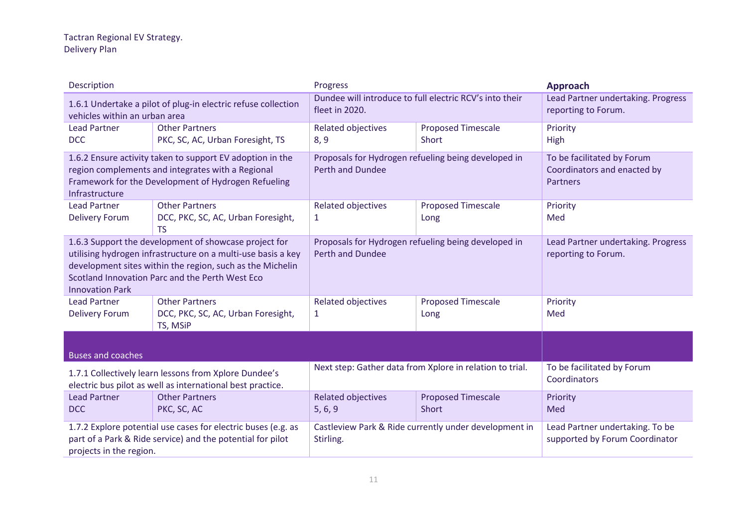| Description                                                                                                                                                                                                                                                     |                                                                                                                             | Progress                                                                       |                                           | <b>Approach</b>                                                       |
|-----------------------------------------------------------------------------------------------------------------------------------------------------------------------------------------------------------------------------------------------------------------|-----------------------------------------------------------------------------------------------------------------------------|--------------------------------------------------------------------------------|-------------------------------------------|-----------------------------------------------------------------------|
| vehicles within an urban area                                                                                                                                                                                                                                   | 1.6.1 Undertake a pilot of plug-in electric refuse collection                                                               | Dundee will introduce to full electric RCV's into their<br>fleet in 2020.      |                                           | Lead Partner undertaking. Progress<br>reporting to Forum.             |
| <b>Lead Partner</b><br><b>DCC</b>                                                                                                                                                                                                                               | <b>Other Partners</b><br>PKC, SC, AC, Urban Foresight, TS                                                                   | <b>Related objectives</b><br>8, 9                                              | <b>Proposed Timescale</b><br>Short        | Priority<br>High                                                      |
| 1.6.2 Ensure activity taken to support EV adoption in the<br>region complements and integrates with a Regional<br>Framework for the Development of Hydrogen Refueling<br>Infrastructure                                                                         |                                                                                                                             | Proposals for Hydrogen refueling being developed in<br><b>Perth and Dundee</b> |                                           | To be facilitated by Forum<br>Coordinators and enacted by<br>Partners |
| <b>Lead Partner</b><br><b>Delivery Forum</b>                                                                                                                                                                                                                    | <b>Other Partners</b><br>DCC, PKC, SC, AC, Urban Foresight,<br><b>TS</b>                                                    | <b>Related objectives</b><br>$\mathbf{1}$                                      | <b>Proposed Timescale</b><br>Long         | Priority<br>Med                                                       |
| 1.6.3 Support the development of showcase project for<br>utilising hydrogen infrastructure on a multi-use basis a key<br>development sites within the region, such as the Michelin<br>Scotland Innovation Parc and the Perth West Eco<br><b>Innovation Park</b> |                                                                                                                             | Proposals for Hydrogen refueling being developed in<br><b>Perth and Dundee</b> |                                           | Lead Partner undertaking. Progress<br>reporting to Forum.             |
| <b>Lead Partner</b><br><b>Delivery Forum</b>                                                                                                                                                                                                                    | <b>Other Partners</b><br>DCC, PKC, SC, AC, Urban Foresight,<br>TS, MSiP                                                     | Related objectives<br>1                                                        | <b>Proposed Timescale</b><br>Long         | Priority<br>Med                                                       |
| <b>Buses and coaches</b>                                                                                                                                                                                                                                        |                                                                                                                             |                                                                                |                                           |                                                                       |
| 1.7.1 Collectively learn lessons from Xplore Dundee's<br>electric bus pilot as well as international best practice.                                                                                                                                             |                                                                                                                             | Next step: Gather data from Xplore in relation to trial.                       |                                           | To be facilitated by Forum<br>Coordinators                            |
| <b>Lead Partner</b><br><b>DCC</b>                                                                                                                                                                                                                               | <b>Other Partners</b><br>PKC, SC, AC                                                                                        | <b>Related objectives</b><br>5, 6, 9                                           | <b>Proposed Timescale</b><br><b>Short</b> | Priority<br>Med                                                       |
| projects in the region.                                                                                                                                                                                                                                         | 1.7.2 Explore potential use cases for electric buses (e.g. as<br>part of a Park & Ride service) and the potential for pilot | Castleview Park & Ride currently under development in<br>Stirling.             |                                           | Lead Partner undertaking. To be<br>supported by Forum Coordinator     |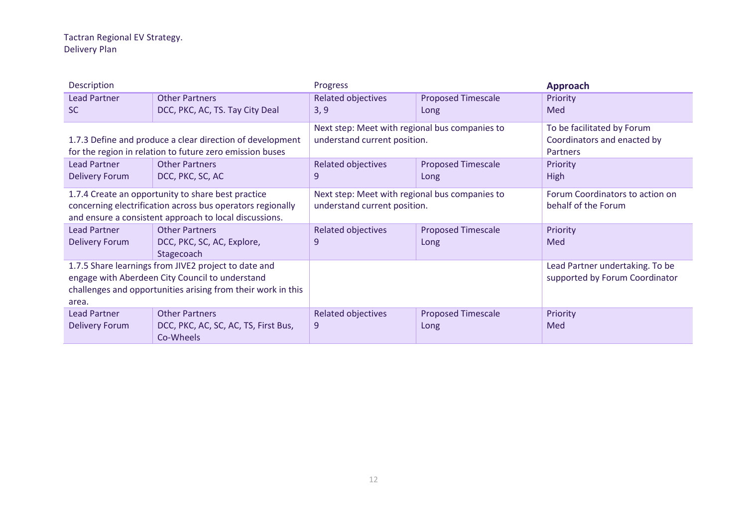| Description                                                  |                                                            | Progress                                       |                           | <b>Approach</b>                 |
|--------------------------------------------------------------|------------------------------------------------------------|------------------------------------------------|---------------------------|---------------------------------|
| <b>Lead Partner</b>                                          | <b>Other Partners</b>                                      | <b>Related objectives</b>                      | <b>Proposed Timescale</b> | Priority                        |
| <b>SC</b>                                                    | DCC, PKC, AC, TS. Tay City Deal                            | 3, 9                                           | Long                      | Med                             |
|                                                              |                                                            | Next step: Meet with regional bus companies to |                           | To be facilitated by Forum      |
|                                                              | 1.7.3 Define and produce a clear direction of development  | understand current position.                   |                           | Coordinators and enacted by     |
|                                                              | for the region in relation to future zero emission buses   |                                                |                           | <b>Partners</b>                 |
| <b>Lead Partner</b>                                          | <b>Other Partners</b>                                      | Related objectives                             | <b>Proposed Timescale</b> | Priority                        |
| <b>Delivery Forum</b>                                        | DCC, PKC, SC, AC                                           | 9                                              | Long                      | High                            |
|                                                              | 1.7.4 Create an opportunity to share best practice         | Next step: Meet with regional bus companies to |                           | Forum Coordinators to action on |
|                                                              | concerning electrification across bus operators regionally | understand current position.                   |                           | behalf of the Forum             |
|                                                              | and ensure a consistent approach to local discussions.     |                                                |                           |                                 |
| <b>Lead Partner</b>                                          | <b>Other Partners</b>                                      | Related objectives                             | <b>Proposed Timescale</b> | Priority                        |
| Delivery Forum                                               | DCC, PKC, SC, AC, Explore,                                 | 9                                              | Long                      | Med                             |
|                                                              | Stagecoach                                                 |                                                |                           |                                 |
|                                                              | 1.7.5 Share learnings from JIVE2 project to date and       |                                                |                           | Lead Partner undertaking. To be |
|                                                              | engage with Aberdeen City Council to understand            |                                                |                           | supported by Forum Coordinator  |
| challenges and opportunities arising from their work in this |                                                            |                                                |                           |                                 |
| area.                                                        |                                                            |                                                |                           |                                 |
| <b>Lead Partner</b>                                          | <b>Other Partners</b>                                      | <b>Related objectives</b>                      | <b>Proposed Timescale</b> | Priority                        |
| <b>Delivery Forum</b>                                        | DCC, PKC, AC, SC, AC, TS, First Bus,<br>Co-Wheels          | 9                                              | Long                      | Med                             |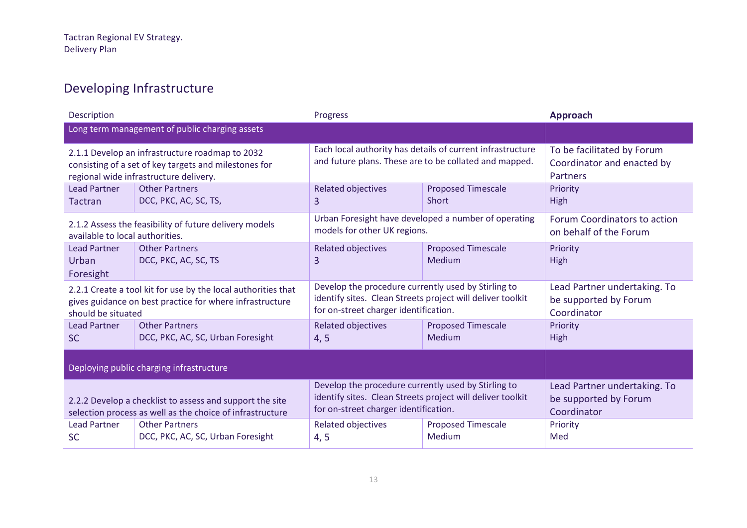### Developing Infrastructure

| Description                           |                                                                                                                                                    | Progress                                                                                                                                                   |                                                      | <b>Approach</b>                                                             |
|---------------------------------------|----------------------------------------------------------------------------------------------------------------------------------------------------|------------------------------------------------------------------------------------------------------------------------------------------------------------|------------------------------------------------------|-----------------------------------------------------------------------------|
|                                       | Long term management of public charging assets                                                                                                     |                                                                                                                                                            |                                                      |                                                                             |
|                                       | 2.1.1 Develop an infrastructure roadmap to 2032<br>consisting of a set of key targets and milestones for<br>regional wide infrastructure delivery. | Each local authority has details of current infrastructure<br>and future plans. These are to be collated and mapped.                                       |                                                      | To be facilitated by Forum<br>Coordinator and enacted by<br><b>Partners</b> |
| <b>Lead Partner</b><br><b>Tactran</b> | <b>Other Partners</b><br>DCC, PKC, AC, SC, TS,                                                                                                     | Related objectives<br>$\overline{3}$                                                                                                                       | <b>Proposed Timescale</b><br>Short                   | Priority<br><b>High</b>                                                     |
| available to local authorities.       | 2.1.2 Assess the feasibility of future delivery models                                                                                             | models for other UK regions.                                                                                                                               | Urban Foresight have developed a number of operating | Forum Coordinators to action<br>on behalf of the Forum                      |
| Lead Partner<br>Urban<br>Foresight    | <b>Other Partners</b><br>DCC, PKC, AC, SC, TS                                                                                                      | Related objectives<br>3                                                                                                                                    | Proposed Timescale<br><b>Medium</b>                  | Priority<br><b>High</b>                                                     |
| should be situated                    | 2.2.1 Create a tool kit for use by the local authorities that<br>gives guidance on best practice for where infrastructure                          | Develop the procedure currently used by Stirling to<br>identify sites. Clean Streets project will deliver toolkit<br>for on-street charger identification. |                                                      | Lead Partner undertaking. To<br>be supported by Forum<br>Coordinator        |
| <b>Lead Partner</b><br><b>SC</b>      | <b>Other Partners</b><br>DCC, PKC, AC, SC, Urban Foresight                                                                                         | <b>Related objectives</b><br>4, 5                                                                                                                          | <b>Proposed Timescale</b><br>Medium                  | Priority<br>High                                                            |
|                                       | Deploying public charging infrastructure                                                                                                           |                                                                                                                                                            |                                                      |                                                                             |
|                                       | 2.2.2 Develop a checklist to assess and support the site<br>selection process as well as the choice of infrastructure                              | Develop the procedure currently used by Stirling to<br>identify sites. Clean Streets project will deliver toolkit<br>for on-street charger identification. |                                                      | Lead Partner undertaking. To<br>be supported by Forum<br>Coordinator        |
| <b>Lead Partner</b><br><b>SC</b>      | <b>Other Partners</b><br>DCC, PKC, AC, SC, Urban Foresight                                                                                         | <b>Related objectives</b><br>4, 5                                                                                                                          | <b>Proposed Timescale</b><br>Medium                  | Priority<br>Med                                                             |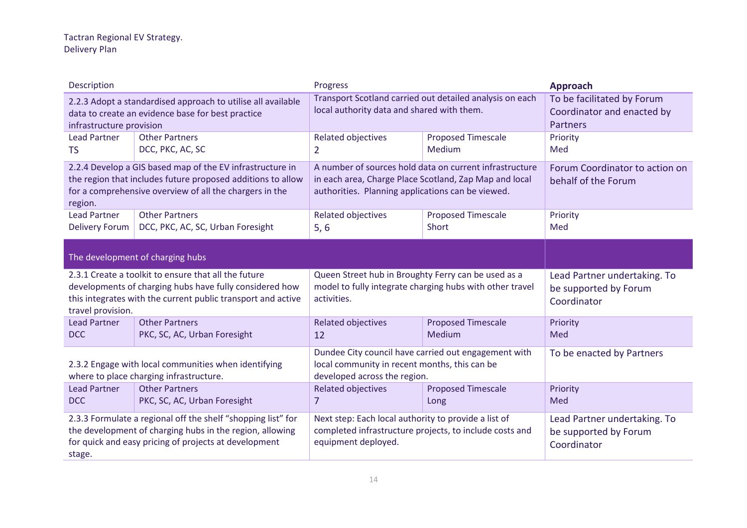| Description                                                                                                                                                                                    |                                                                                                                                                                                 | Progress                                                                                                                                                               |                                                          | <b>Approach</b>                                                             |
|------------------------------------------------------------------------------------------------------------------------------------------------------------------------------------------------|---------------------------------------------------------------------------------------------------------------------------------------------------------------------------------|------------------------------------------------------------------------------------------------------------------------------------------------------------------------|----------------------------------------------------------|-----------------------------------------------------------------------------|
| infrastructure provision                                                                                                                                                                       | 2.2.3 Adopt a standardised approach to utilise all available<br>data to create an evidence base for best practice                                                               | local authority data and shared with them.                                                                                                                             | Transport Scotland carried out detailed analysis on each | To be facilitated by Forum<br>Coordinator and enacted by<br><b>Partners</b> |
| <b>Lead Partner</b><br><b>TS</b>                                                                                                                                                               | <b>Other Partners</b><br>DCC, PKC, AC, SC                                                                                                                                       | <b>Related objectives</b><br>$\overline{2}$                                                                                                                            | <b>Proposed Timescale</b><br>Medium                      | Priority<br>Med                                                             |
| 2.2.4 Develop a GIS based map of the EV infrastructure in<br>the region that includes future proposed additions to allow<br>for a comprehensive overview of all the chargers in the<br>region. |                                                                                                                                                                                 | A number of sources hold data on current infrastructure<br>in each area, Charge Place Scotland, Zap Map and local<br>authorities. Planning applications can be viewed. |                                                          | Forum Coordinator to action on<br>behalf of the Forum                       |
| <b>Lead Partner</b><br><b>Delivery Forum</b>                                                                                                                                                   | <b>Other Partners</b><br>DCC, PKC, AC, SC, Urban Foresight                                                                                                                      | Related objectives<br>5,6                                                                                                                                              | <b>Proposed Timescale</b><br>Short                       | Priority<br>Med                                                             |
| The development of charging hubs                                                                                                                                                               |                                                                                                                                                                                 |                                                                                                                                                                        |                                                          |                                                                             |
| travel provision.                                                                                                                                                                              | 2.3.1 Create a toolkit to ensure that all the future<br>developments of charging hubs have fully considered how<br>this integrates with the current public transport and active | Queen Street hub in Broughty Ferry can be used as a<br>model to fully integrate charging hubs with other travel<br>activities.                                         |                                                          | Lead Partner undertaking. To<br>be supported by Forum<br>Coordinator        |
| <b>Lead Partner</b><br><b>DCC</b>                                                                                                                                                              | <b>Other Partners</b><br>PKC, SC, AC, Urban Foresight                                                                                                                           | <b>Related objectives</b><br>12                                                                                                                                        | <b>Proposed Timescale</b><br>Medium                      | Priority<br>Med                                                             |
| 2.3.2 Engage with local communities when identifying<br>where to place charging infrastructure.                                                                                                |                                                                                                                                                                                 | Dundee City council have carried out engagement with<br>local community in recent months, this can be<br>developed across the region.                                  |                                                          | To be enacted by Partners                                                   |
| <b>Lead Partner</b><br><b>DCC</b>                                                                                                                                                              | <b>Other Partners</b><br>PKC, SC, AC, Urban Foresight                                                                                                                           | <b>Related objectives</b><br>7                                                                                                                                         | <b>Proposed Timescale</b><br>Long                        | Priority<br>Med                                                             |
| 2.3.3 Formulate a regional off the shelf "shopping list" for<br>the development of charging hubs in the region, allowing<br>for quick and easy pricing of projects at development<br>stage.    |                                                                                                                                                                                 | Next step: Each local authority to provide a list of<br>completed infrastructure projects, to include costs and<br>equipment deployed.                                 |                                                          | Lead Partner undertaking. To<br>be supported by Forum<br>Coordinator        |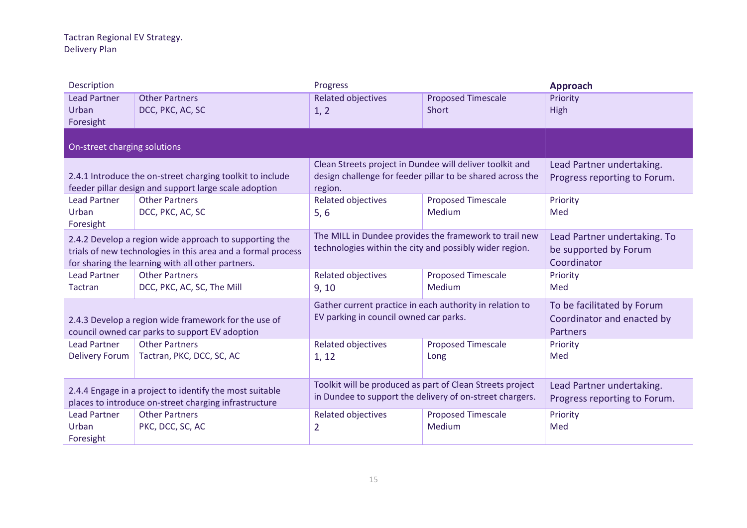| Description                                                                                                                                                                 |                                                                                                                    | Progress                                                                                                              |                                                            | <b>Approach</b>                                                             |
|-----------------------------------------------------------------------------------------------------------------------------------------------------------------------------|--------------------------------------------------------------------------------------------------------------------|-----------------------------------------------------------------------------------------------------------------------|------------------------------------------------------------|-----------------------------------------------------------------------------|
| <b>Lead Partner</b><br>Urban<br>Foresight                                                                                                                                   | <b>Other Partners</b><br>DCC, PKC, AC, SC                                                                          | <b>Related objectives</b><br>1, 2                                                                                     | <b>Proposed Timescale</b><br>Short                         | Priority<br>High                                                            |
| On-street charging solutions                                                                                                                                                |                                                                                                                    |                                                                                                                       |                                                            |                                                                             |
|                                                                                                                                                                             | 2.4.1 Introduce the on-street charging toolkit to include<br>feeder pillar design and support large scale adoption | Clean Streets project in Dundee will deliver toolkit and<br>region.                                                   | design challenge for feeder pillar to be shared across the | Lead Partner undertaking.<br>Progress reporting to Forum.                   |
| <b>Lead Partner</b><br>Urban<br>Foresight                                                                                                                                   | <b>Other Partners</b><br>DCC, PKC, AC, SC                                                                          | <b>Related objectives</b><br>5, 6                                                                                     | <b>Proposed Timescale</b><br>Medium                        | Priority<br>Med                                                             |
| 2.4.2 Develop a region wide approach to supporting the<br>trials of new technologies in this area and a formal process<br>for sharing the learning with all other partners. |                                                                                                                    | technologies within the city and possibly wider region.                                                               | The MILL in Dundee provides the framework to trail new     | Lead Partner undertaking. To<br>be supported by Forum<br>Coordinator        |
| <b>Lead Partner</b><br>Tactran                                                                                                                                              | <b>Other Partners</b><br>DCC, PKC, AC, SC, The Mill                                                                | <b>Related objectives</b><br>9, 10                                                                                    | <b>Proposed Timescale</b><br>Medium                        | Priority<br>Med                                                             |
|                                                                                                                                                                             | 2.4.3 Develop a region wide framework for the use of<br>council owned car parks to support EV adoption             | Gather current practice in each authority in relation to<br>EV parking in council owned car parks.                    |                                                            | To be facilitated by Forum<br>Coordinator and enacted by<br><b>Partners</b> |
| <b>Lead Partner</b><br><b>Delivery Forum</b>                                                                                                                                | <b>Other Partners</b><br>Tactran, PKC, DCC, SC, AC                                                                 | <b>Related objectives</b><br>1, 12                                                                                    | <b>Proposed Timescale</b><br>Long                          | Priority<br>Med                                                             |
| 2.4.4 Engage in a project to identify the most suitable<br>places to introduce on-street charging infrastructure                                                            |                                                                                                                    | Toolkit will be produced as part of Clean Streets project<br>in Dundee to support the delivery of on-street chargers. |                                                            | Lead Partner undertaking.<br>Progress reporting to Forum.                   |
| <b>Lead Partner</b><br>Urban<br>Foresight                                                                                                                                   | <b>Other Partners</b><br>PKC, DCC, SC, AC                                                                          | <b>Related objectives</b><br>2                                                                                        | <b>Proposed Timescale</b><br>Medium                        | Priority<br>Med                                                             |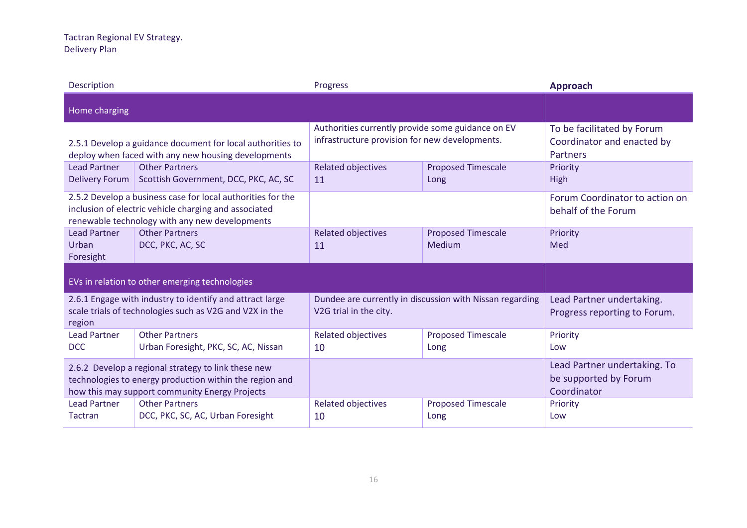| Description                                                                                                                                                      |                                                                                                                                                                        | Progress                                                                                            |                                     | <b>Approach</b>                                                      |
|------------------------------------------------------------------------------------------------------------------------------------------------------------------|------------------------------------------------------------------------------------------------------------------------------------------------------------------------|-----------------------------------------------------------------------------------------------------|-------------------------------------|----------------------------------------------------------------------|
| Home charging                                                                                                                                                    |                                                                                                                                                                        |                                                                                                     |                                     |                                                                      |
|                                                                                                                                                                  | 2.5.1 Develop a guidance document for local authorities to<br>deploy when faced with any new housing developments                                                      | Authorities currently provide some guidance on EV<br>infrastructure provision for new developments. |                                     | To be facilitated by Forum<br>Coordinator and enacted by<br>Partners |
| <b>Lead Partner</b><br><b>Delivery Forum</b>                                                                                                                     | <b>Other Partners</b><br>Scottish Government, DCC, PKC, AC, SC                                                                                                         | <b>Related objectives</b><br>11                                                                     | <b>Proposed Timescale</b><br>Long   | Priority<br>High                                                     |
|                                                                                                                                                                  | 2.5.2 Develop a business case for local authorities for the<br>inclusion of electric vehicle charging and associated<br>renewable technology with any new developments |                                                                                                     |                                     | Forum Coordinator to action on<br>behalf of the Forum                |
| <b>Lead Partner</b><br>Urban<br>Foresight                                                                                                                        | <b>Other Partners</b><br>DCC, PKC, AC, SC                                                                                                                              | <b>Related objectives</b><br>11                                                                     | <b>Proposed Timescale</b><br>Medium | Priority<br>Med                                                      |
|                                                                                                                                                                  | EVs in relation to other emerging technologies                                                                                                                         |                                                                                                     |                                     |                                                                      |
| region                                                                                                                                                           | 2.6.1 Engage with industry to identify and attract large<br>scale trials of technologies such as V2G and V2X in the                                                    | Dundee are currently in discussion with Nissan regarding<br>V2G trial in the city.                  |                                     | Lead Partner undertaking.<br>Progress reporting to Forum.            |
| <b>Lead Partner</b><br><b>DCC</b>                                                                                                                                | <b>Other Partners</b><br>Urban Foresight, PKC, SC, AC, Nissan                                                                                                          | <b>Related objectives</b><br>10                                                                     | <b>Proposed Timescale</b><br>Long   | Priority<br>Low                                                      |
| 2.6.2 Develop a regional strategy to link these new<br>technologies to energy production within the region and<br>how this may support community Energy Projects |                                                                                                                                                                        |                                                                                                     |                                     | Lead Partner undertaking. To<br>be supported by Forum<br>Coordinator |
| <b>Lead Partner</b><br><b>Tactran</b>                                                                                                                            | <b>Other Partners</b><br>DCC, PKC, SC, AC, Urban Foresight                                                                                                             | <b>Related objectives</b><br>10                                                                     | <b>Proposed Timescale</b><br>Long   | Priority<br>Low                                                      |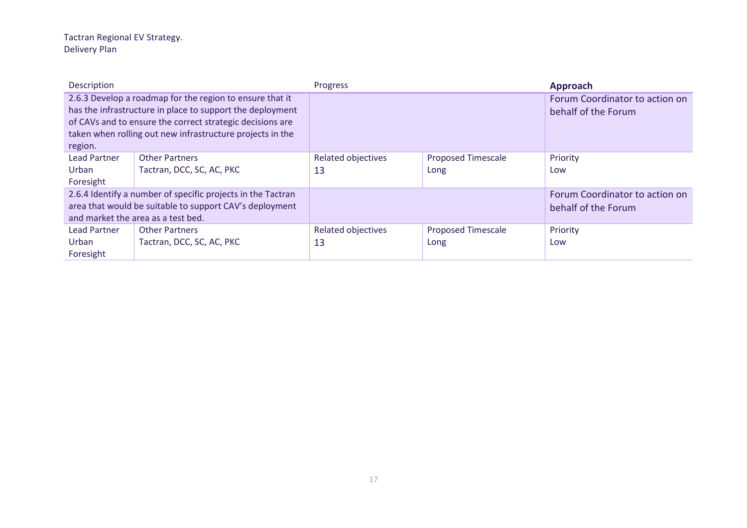| Description                               |                                                                                                                                                                                                                                                 | Progress                        |                                   | <b>Approach</b>                                       |
|-------------------------------------------|-------------------------------------------------------------------------------------------------------------------------------------------------------------------------------------------------------------------------------------------------|---------------------------------|-----------------------------------|-------------------------------------------------------|
| region.                                   | 2.6.3 Develop a roadmap for the region to ensure that it<br>has the infrastructure in place to support the deployment<br>of CAVs and to ensure the correct strategic decisions are<br>taken when rolling out new infrastructure projects in the |                                 |                                   | Forum Coordinator to action on<br>behalf of the Forum |
| <b>Lead Partner</b><br>Urban              | <b>Other Partners</b><br>Tactran, DCC, SC, AC, PKC                                                                                                                                                                                              | <b>Related objectives</b><br>13 | <b>Proposed Timescale</b><br>Long | Priority<br>Low                                       |
| Foresight                                 | 2.6.4 Identify a number of specific projects in the Tactran<br>area that would be suitable to support CAV's deployment<br>and market the area as a test bed.                                                                                    |                                 |                                   | Forum Coordinator to action on<br>behalf of the Forum |
| <b>Lead Partner</b><br>Urban<br>Foresight | <b>Other Partners</b><br>Tactran, DCC, SC, AC, PKC                                                                                                                                                                                              | <b>Related objectives</b><br>13 | <b>Proposed Timescale</b><br>Long | Priority<br>Low                                       |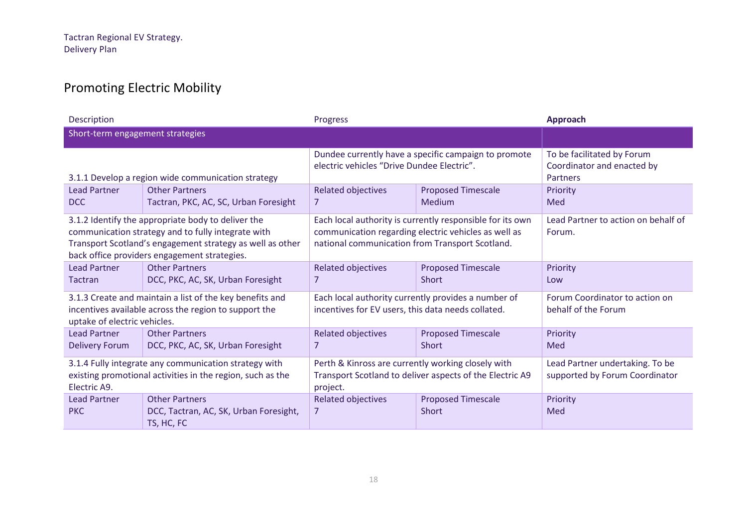### Promoting Electric Mobility

| Description                                                                                                                                                                                                           |                                                                               | Progress                                                                                                                                                             |                                           | <b>Approach</b>                                                      |
|-----------------------------------------------------------------------------------------------------------------------------------------------------------------------------------------------------------------------|-------------------------------------------------------------------------------|----------------------------------------------------------------------------------------------------------------------------------------------------------------------|-------------------------------------------|----------------------------------------------------------------------|
| Short-term engagement strategies                                                                                                                                                                                      |                                                                               |                                                                                                                                                                      |                                           |                                                                      |
| 3.1.1 Develop a region wide communication strategy                                                                                                                                                                    |                                                                               | Dundee currently have a specific campaign to promote<br>electric vehicles "Drive Dundee Electric".                                                                   |                                           | To be facilitated by Forum<br>Coordinator and enacted by<br>Partners |
| <b>Lead Partner</b><br>DCC                                                                                                                                                                                            | <b>Other Partners</b><br>Tactran, PKC, AC, SC, Urban Foresight                | <b>Related objectives</b><br>7                                                                                                                                       | <b>Proposed Timescale</b><br>Medium       | Priority<br>Med                                                      |
| 3.1.2 Identify the appropriate body to deliver the<br>communication strategy and to fully integrate with<br>Transport Scotland's engagement strategy as well as other<br>back office providers engagement strategies. |                                                                               | Each local authority is currently responsible for its own<br>communication regarding electric vehicles as well as<br>national communication from Transport Scotland. |                                           | Lead Partner to action on behalf of<br>Forum.                        |
| <b>Lead Partner</b><br><b>Tactran</b>                                                                                                                                                                                 | <b>Other Partners</b><br>DCC, PKC, AC, SK, Urban Foresight                    | <b>Related objectives</b><br>7                                                                                                                                       | <b>Proposed Timescale</b><br><b>Short</b> | Priority<br>Low                                                      |
| 3.1.3 Create and maintain a list of the key benefits and<br>incentives available across the region to support the<br>uptake of electric vehicles.                                                                     |                                                                               | Each local authority currently provides a number of<br>incentives for EV users, this data needs collated.                                                            |                                           | Forum Coordinator to action on<br>behalf of the Forum                |
| Lead Partner<br><b>Delivery Forum</b>                                                                                                                                                                                 | <b>Other Partners</b><br>DCC, PKC, AC, SK, Urban Foresight                    | Related objectives<br>7                                                                                                                                              | <b>Proposed Timescale</b><br>Short        | Priority<br>Med                                                      |
| 3.1.4 Fully integrate any communication strategy with<br>existing promotional activities in the region, such as the<br>Electric A9.                                                                                   |                                                                               | Perth & Kinross are currently working closely with<br>Transport Scotland to deliver aspects of the Electric A9<br>project.                                           |                                           | Lead Partner undertaking. To be<br>supported by Forum Coordinator    |
| <b>Lead Partner</b><br><b>PKC</b>                                                                                                                                                                                     | <b>Other Partners</b><br>DCC, Tactran, AC, SK, Urban Foresight,<br>TS, HC, FC | <b>Related objectives</b><br>$\overline{7}$                                                                                                                          | <b>Proposed Timescale</b><br>Short        | Priority<br>Med                                                      |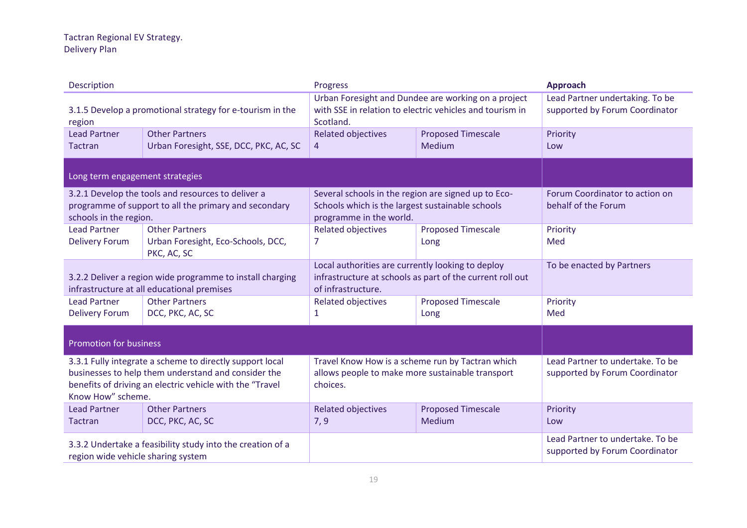| Description                                                                                                                                                                                      |                                                   | Progress                                                                                                                             |                           | Approach                                                           |
|--------------------------------------------------------------------------------------------------------------------------------------------------------------------------------------------------|---------------------------------------------------|--------------------------------------------------------------------------------------------------------------------------------------|---------------------------|--------------------------------------------------------------------|
| 3.1.5 Develop a promotional strategy for e-tourism in the<br>region                                                                                                                              |                                                   | Urban Foresight and Dundee are working on a project<br>with SSE in relation to electric vehicles and tourism in<br>Scotland.         |                           | Lead Partner undertaking. To be<br>supported by Forum Coordinator  |
| <b>Lead Partner</b>                                                                                                                                                                              | <b>Other Partners</b>                             | <b>Related objectives</b>                                                                                                            | <b>Proposed Timescale</b> | Priority                                                           |
| Tactran                                                                                                                                                                                          | Urban Foresight, SSE, DCC, PKC, AC, SC            | 4                                                                                                                                    | Medium                    | Low                                                                |
| Long term engagement strategies                                                                                                                                                                  |                                                   |                                                                                                                                      |                           |                                                                    |
| 3.2.1 Develop the tools and resources to deliver a<br>programme of support to all the primary and secondary<br>schools in the region.                                                            |                                                   | Several schools in the region are signed up to Eco-<br>Schools which is the largest sustainable schools<br>programme in the world.   |                           | Forum Coordinator to action on<br>behalf of the Forum              |
| <b>Lead Partner</b>                                                                                                                                                                              | <b>Other Partners</b>                             | <b>Related objectives</b>                                                                                                            | <b>Proposed Timescale</b> | Priority                                                           |
| <b>Delivery Forum</b>                                                                                                                                                                            | Urban Foresight, Eco-Schools, DCC,<br>PKC, AC, SC | $\overline{7}$                                                                                                                       | Long                      | Med                                                                |
| 3.2.2 Deliver a region wide programme to install charging<br>infrastructure at all educational premises                                                                                          |                                                   | Local authorities are currently looking to deploy<br>infrastructure at schools as part of the current roll out<br>of infrastructure. |                           | To be enacted by Partners                                          |
| <b>Lead Partner</b>                                                                                                                                                                              | <b>Other Partners</b>                             | <b>Related objectives</b>                                                                                                            | <b>Proposed Timescale</b> | Priority                                                           |
| <b>Delivery Forum</b>                                                                                                                                                                            | DCC, PKC, AC, SC                                  | $\mathbf{1}$                                                                                                                         | Long                      | Med                                                                |
| <b>Promotion for business</b>                                                                                                                                                                    |                                                   |                                                                                                                                      |                           |                                                                    |
| 3.3.1 Fully integrate a scheme to directly support local<br>businesses to help them understand and consider the<br>benefits of driving an electric vehicle with the "Travel<br>Know How" scheme. |                                                   | Travel Know How is a scheme run by Tactran which<br>allows people to make more sustainable transport<br>choices.                     |                           | Lead Partner to undertake. To be<br>supported by Forum Coordinator |
| <b>Lead Partner</b>                                                                                                                                                                              | <b>Other Partners</b>                             | <b>Related objectives</b>                                                                                                            | <b>Proposed Timescale</b> | Priority                                                           |
| Tactran                                                                                                                                                                                          | DCC, PKC, AC, SC                                  | 7,9                                                                                                                                  | Medium                    | Low                                                                |
| 3.3.2 Undertake a feasibility study into the creation of a<br>region wide vehicle sharing system                                                                                                 |                                                   |                                                                                                                                      |                           | Lead Partner to undertake. To be<br>supported by Forum Coordinator |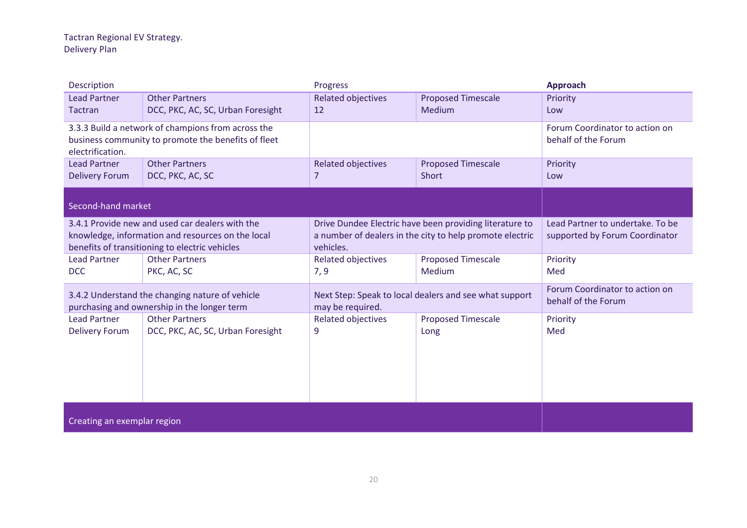| Description                                                                                                                                            |                                   | Progress                                                                                                                         |                           | Approach                                                           |
|--------------------------------------------------------------------------------------------------------------------------------------------------------|-----------------------------------|----------------------------------------------------------------------------------------------------------------------------------|---------------------------|--------------------------------------------------------------------|
| <b>Lead Partner</b>                                                                                                                                    | <b>Other Partners</b>             | <b>Related objectives</b>                                                                                                        | <b>Proposed Timescale</b> | Priority                                                           |
| Tactran                                                                                                                                                | DCC, PKC, AC, SC, Urban Foresight | 12                                                                                                                               | Medium                    | Low                                                                |
| 3.3.3 Build a network of champions from across the<br>business community to promote the benefits of fleet<br>electrification.                          |                                   |                                                                                                                                  |                           | Forum Coordinator to action on<br>behalf of the Forum              |
| <b>Lead Partner</b>                                                                                                                                    | <b>Other Partners</b>             | Related objectives                                                                                                               | <b>Proposed Timescale</b> | Priority                                                           |
| <b>Delivery Forum</b>                                                                                                                                  | DCC, PKC, AC, SC                  | 7                                                                                                                                | Short                     | Low                                                                |
| Second-hand market                                                                                                                                     |                                   |                                                                                                                                  |                           |                                                                    |
| 3.4.1 Provide new and used car dealers with the<br>knowledge, information and resources on the local<br>benefits of transitioning to electric vehicles |                                   | Drive Dundee Electric have been providing literature to<br>a number of dealers in the city to help promote electric<br>vehicles. |                           | Lead Partner to undertake. To be<br>supported by Forum Coordinator |
| <b>Lead Partner</b>                                                                                                                                    | <b>Other Partners</b>             | <b>Related objectives</b>                                                                                                        | <b>Proposed Timescale</b> | Priority                                                           |
| <b>DCC</b>                                                                                                                                             | PKC, AC, SC                       | 7, 9                                                                                                                             | Medium                    | Med                                                                |
| 3.4.2 Understand the changing nature of vehicle                                                                                                        |                                   | Next Step: Speak to local dealers and see what support                                                                           |                           | Forum Coordinator to action on                                     |
| purchasing and ownership in the longer term                                                                                                            |                                   | may be required.                                                                                                                 |                           | behalf of the Forum                                                |
| <b>Lead Partner</b>                                                                                                                                    | <b>Other Partners</b>             | <b>Related objectives</b>                                                                                                        | <b>Proposed Timescale</b> | Priority                                                           |
| <b>Delivery Forum</b>                                                                                                                                  | DCC, PKC, AC, SC, Urban Foresight | 9                                                                                                                                | Long                      | Med                                                                |
| Creating an exemplar region                                                                                                                            |                                   |                                                                                                                                  |                           |                                                                    |